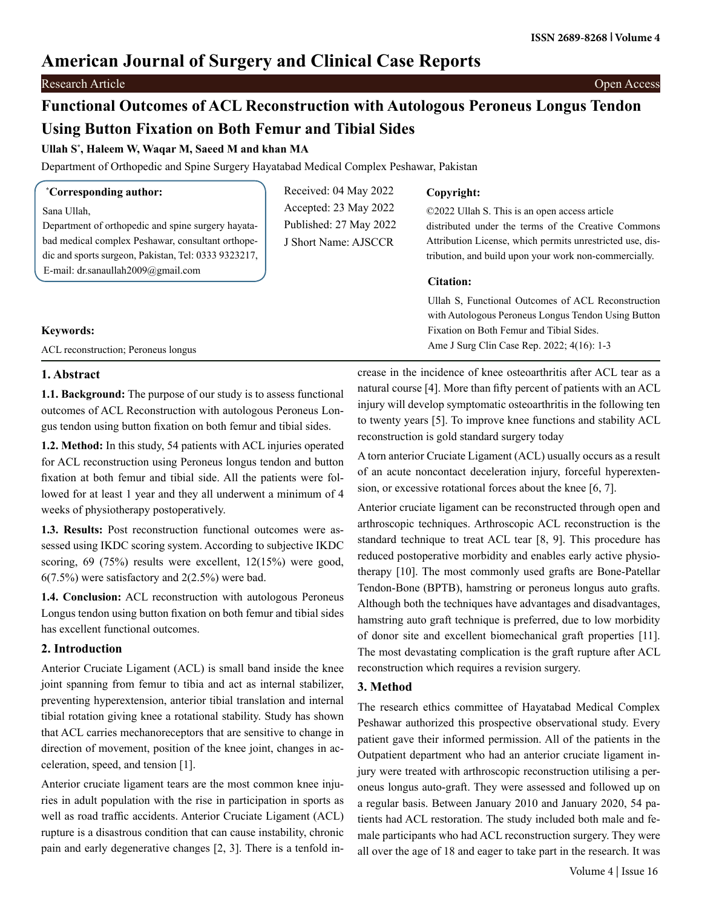# **American Journal of Surgery and Clinical Case Reports**

# Research Article Open Access

# **Functional Outcomes of ACL Reconstruction with Autologous Peroneus Longus Tendon Using Button Fixation on Both Femur and Tibial Sides**

## **Ullah S\* , Haleem W, Waqar M, Saeed M and khan MA**

Department of Orthopedic and Spine Surgery Hayatabad Medical Complex Peshawar, Pakistan

| <i>Corresponding author:</i>                         | Received: 04 May 2022  | Copyright:                                                |
|------------------------------------------------------|------------------------|-----------------------------------------------------------|
| Sana Ullah,                                          | Accepted: 23 May 2022  | ©2022 Ullah S. This is an open access article             |
| Department of orthopedic and spine surgery hayata-   | Published: 27 May 2022 | distributed under the terms of the Creative Commons       |
| bad medical complex Peshawar, consultant orthope-    | J Short Name: AJSCCR   | Attribution License, which permits unrestricted use, dis- |
| dic and sports surgeon, Pakistan, Tel: 0333 9323217, |                        | tribution, and build upon your work non-commercially.     |
|                                                      |                        |                                                           |
| E-mail: dr.sanaullah2009@gmail.com                   |                        |                                                           |
|                                                      |                        | Citation:                                                 |
|                                                      |                        | Ullah S, Functional Outcomes of ACL Reconstruction        |
|                                                      |                        | with Autologous Peroneus Longus Tendon Using Button       |
| <b>Keywords:</b>                                     |                        | Fixation on Both Femur and Tibial Sides.                  |

## **1. Abstract**

**1.1. Background:** The purpose of our study is to assess functional outcomes of ACL Reconstruction with autologous Peroneus Longus tendon using button fixation on both femur and tibial sides.

**1.2. Method:** In this study, 54 patients with ACL injuries operated for ACL reconstruction using Peroneus longus tendon and button fixation at both femur and tibial side. All the patients were followed for at least 1 year and they all underwent a minimum of 4 weeks of physiotherapy postoperatively.

**1.3. Results:** Post reconstruction functional outcomes were assessed using IKDC scoring system. According to subjective IKDC scoring, 69 (75%) results were excellent, 12(15%) were good, 6(7.5%) were satisfactory and 2(2.5%) were bad.

**1.4. Conclusion:** ACL reconstruction with autologous Peroneus Longus tendon using button fixation on both femur and tibial sides has excellent functional outcomes.

## **2. Introduction**

Anterior Cruciate Ligament (ACL) is small band inside the knee joint spanning from femur to tibia and act as internal stabilizer, preventing hyperextension, anterior tibial translation and internal tibial rotation giving knee a rotational stability. Study has shown that ACL carries mechanoreceptors that are sensitive to change in direction of movement, position of the knee joint, changes in acceleration, speed, and tension [1].

Anterior cruciate ligament tears are the most common knee injuries in adult population with the rise in participation in sports as well as road traffic accidents. Anterior Cruciate Ligament (ACL) rupture is a disastrous condition that can cause instability, chronic pain and early degenerative changes [2, 3]. There is a tenfold increase in the incidence of knee osteoarthritis after ACL tear as a natural course [4]. More than fifty percent of patients with an ACL injury will develop symptomatic osteoarthritis in the following ten to twenty years [5]. To improve knee functions and stability ACL reconstruction is gold standard surgery today

A torn anterior Cruciate Ligament (ACL) usually occurs as a result of an acute noncontact deceleration injury, forceful hyperextension, or excessive rotational forces about the knee [6, 7].

Anterior cruciate ligament can be reconstructed through open and arthroscopic techniques. Arthroscopic ACL reconstruction is the standard technique to treat ACL tear [8, 9]. This procedure has reduced postoperative morbidity and enables early active physiotherapy [10]. The most commonly used grafts are Bone-Patellar Tendon-Bone (BPTB), hamstring or peroneus longus auto grafts. Although both the techniques have advantages and disadvantages, hamstring auto graft technique is preferred, due to low morbidity of donor site and excellent biomechanical graft properties [11]. The most devastating complication is the graft rupture after ACL reconstruction which requires a revision surgery.

## **3. Method**

The research ethics committee of Hayatabad Medical Complex Peshawar authorized this prospective observational study. Every patient gave their informed permission. All of the patients in the Outpatient department who had an anterior cruciate ligament injury were treated with arthroscopic reconstruction utilising a peroneus longus auto-graft. They were assessed and followed up on a regular basis. Between January 2010 and January 2020, 54 patients had ACL restoration. The study included both male and female participants who had ACL reconstruction surgery. They were all over the age of 18 and eager to take part in the research. It was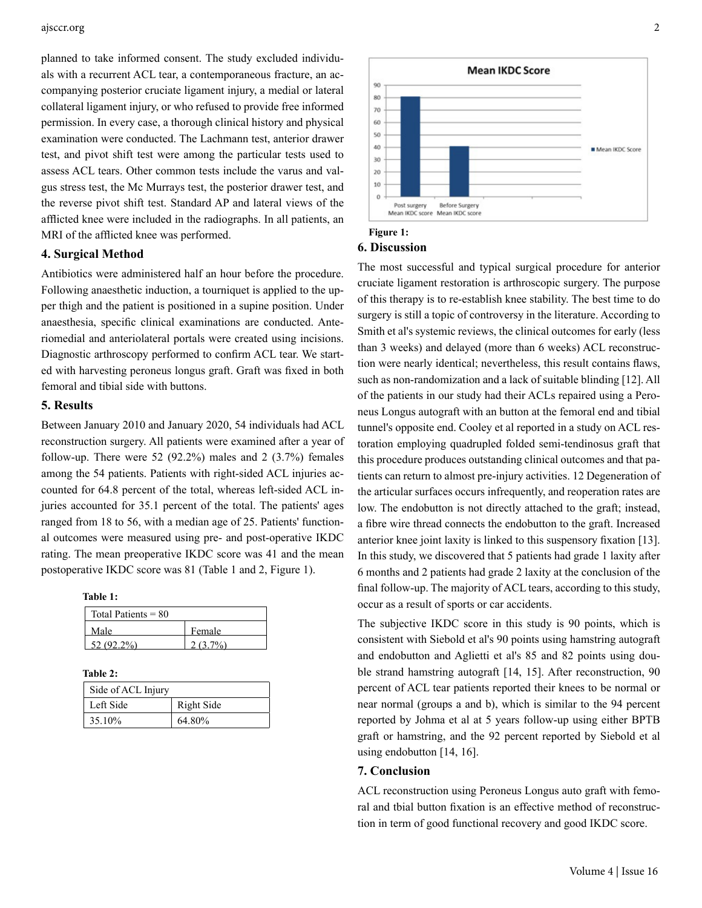#### ajsccr.org 2

planned to take informed consent. The study excluded individuals with a recurrent ACL tear, a contemporaneous fracture, an accompanying posterior cruciate ligament injury, a medial or lateral collateral ligament injury, or who refused to provide free informed permission. In every case, a thorough clinical history and physical examination were conducted. The Lachmann test, anterior drawer test, and pivot shift test were among the particular tests used to assess ACL tears. Other common tests include the varus and valgus stress test, the Mc Murrays test, the posterior drawer test, and the reverse pivot shift test. Standard AP and lateral views of the afflicted knee were included in the radiographs. In all patients, an MRI of the afflicted knee was performed.

## **4. Surgical Method**

Antibiotics were administered half an hour before the procedure. Following anaesthetic induction, a tourniquet is applied to the upper thigh and the patient is positioned in a supine position. Under anaesthesia, specific clinical examinations are conducted. Anteriomedial and anteriolateral portals were created using incisions. Diagnostic arthroscopy performed to confirm ACL tear. We started with harvesting peroneus longus graft. Graft was fixed in both femoral and tibial side with buttons.

## **5. Results**

Between January 2010 and January 2020, 54 individuals had ACL reconstruction surgery. All patients were examined after a year of follow-up. There were 52  $(92.2\%)$  males and 2  $(3.7\%)$  females among the 54 patients. Patients with right-sided ACL injuries accounted for 64.8 percent of the total, whereas left-sided ACL injuries accounted for 35.1 percent of the total. The patients' ages ranged from 18 to 56, with a median age of 25. Patients' functional outcomes were measured using pre- and post-operative IKDC rating. The mean preoperative IKDC score was 41 and the mean postoperative IKDC score was 81 (Table 1 and 2, Figure 1).

**Table 1:**

| Total Patients $= 80$ |         |
|-----------------------|---------|
| Male                  | Female  |
| 52.(92.2%)            | (2.70/) |

**Table 2:**

| Side of ACL Injury |            |
|--------------------|------------|
| Left Side          | Right Side |
| 35.10%             | 64.80%     |



### **Figure 1: 6. Discussion**

The most successful and typical surgical procedure for anterior cruciate ligament restoration is arthroscopic surgery. The purpose of this therapy is to re-establish knee stability. The best time to do surgery is still a topic of controversy in the literature. According to Smith et al's systemic reviews, the clinical outcomes for early (less than 3 weeks) and delayed (more than 6 weeks) ACL reconstruction were nearly identical; nevertheless, this result contains flaws, such as non-randomization and a lack of suitable blinding [12]. All of the patients in our study had their ACLs repaired using a Peroneus Longus autograft with an button at the femoral end and tibial tunnel's opposite end. Cooley et al reported in a study on ACL restoration employing quadrupled folded semi-tendinosus graft that this procedure produces outstanding clinical outcomes and that patients can return to almost pre-injury activities. 12 Degeneration of the articular surfaces occurs infrequently, and reoperation rates are low. The endobutton is not directly attached to the graft; instead, a fibre wire thread connects the endobutton to the graft. Increased anterior knee joint laxity is linked to this suspensory fixation [13]. In this study, we discovered that 5 patients had grade 1 laxity after 6 months and 2 patients had grade 2 laxity at the conclusion of the final follow-up. The majority of ACL tears, according to this study, occur as a result of sports or car accidents.

The subjective IKDC score in this study is 90 points, which is consistent with Siebold et al's 90 points using hamstring autograft and endobutton and Aglietti et al's 85 and 82 points using double strand hamstring autograft [14, 15]. After reconstruction, 90 percent of ACL tear patients reported their knees to be normal or near normal (groups a and b), which is similar to the 94 percent reported by Johma et al at 5 years follow-up using either BPTB graft or hamstring, and the 92 percent reported by Siebold et al using endobutton [14, 16].

# **7. Conclusion**

ACL reconstruction using Peroneus Longus auto graft with femoral and tbial button fixation is an effective method of reconstruction in term of good functional recovery and good IKDC score.